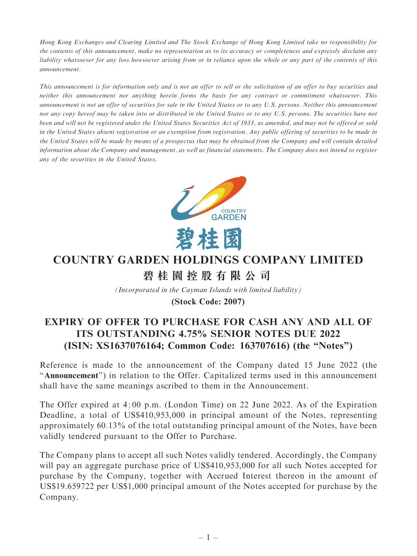Hong Kong Exchanges and Clearing Limited and The Stock Exchange of Hong Kong Limited take no responsibility for the contents of this announcement, make no representation as to its accuracy or completeness and expressly disclaim any liability whatsoever for any loss howsoever arising from or in reliance upon the whole or any part of the contents of this announcement.

This announcement is for information only and is not an offer to sell or the solicitation of an offer to buy securities and neither this announcement nor anything herein forms the basis for any contract or commitment whatsoever. This announcement is not an offer of securities for sale in the United States or to any U.S. persons. Neither this announcement nor any copy hereof may be taken into or distributed in the United States or to any U.S. persons. The securities have not been and will not be registered under the United States Securities Act of 1933, as amended, and may not be offered or sold in the United States absent registration or an exemption from registration. Any public offering of securities to be made in the United States will be made by means of a prospectus that may be obtained from the Company and will contain detailed information about the Company and management, as well as financial statements. The Company does not intend to register any of the securities in the United States.



# **COUNTRY GARDEN HOLDINGS COMPANY LIMITED 碧桂園控股有限公司**

*(Incorporated in the Cayman Islands with limited liability)*

**(Stock Code: 2007)**

## EXPIRY OF OFFER TO PURCHASE FOR CASH ANY AND ALL OF ITS OUTSTANDING 4.75% SENIOR NOTES DUE 2022 (ISIN: XS1637076164; Common Code: 163707616) (the ''Notes'')

Reference is made to the announcement of the Company dated 15 June 2022 (the ''Announcement'') in relation to the Offer. Capitalized terms used in this announcement shall have the same meanings ascribed to them in the Announcement.

The Offer expired at 4: 00 p.m. (London Time) on 22 June 2022. As of the Expiration Deadline, a total of US\$410,953,000 in principal amount of the Notes, representing approximately 60.13% of the total outstanding principal amount of the Notes, have been validly tendered pursuant to the Offer to Purchase.

The Company plans to accept all such Notes validly tendered. Accordingly, the Company will pay an aggregate purchase price of US\$410,953,000 for all such Notes accepted for purchase by the Company, together with Accrued Interest thereon in the amount of US\$19.659722 per US\$1,000 principal amount of the Notes accepted for purchase by the Company.